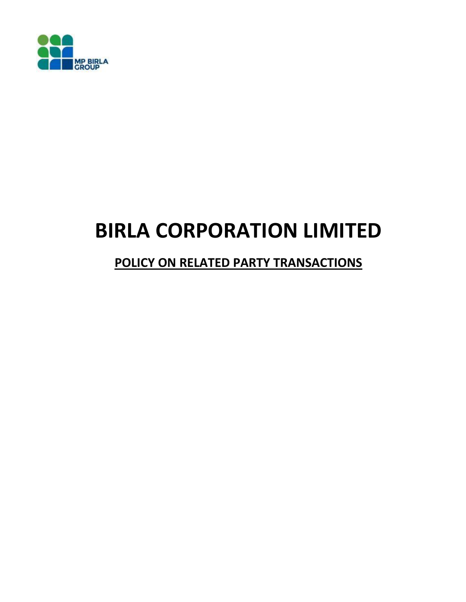

# **BIRLA CORPORATION LIMITED**

# **POLICY ON RELATED PARTY TRANSACTIONS**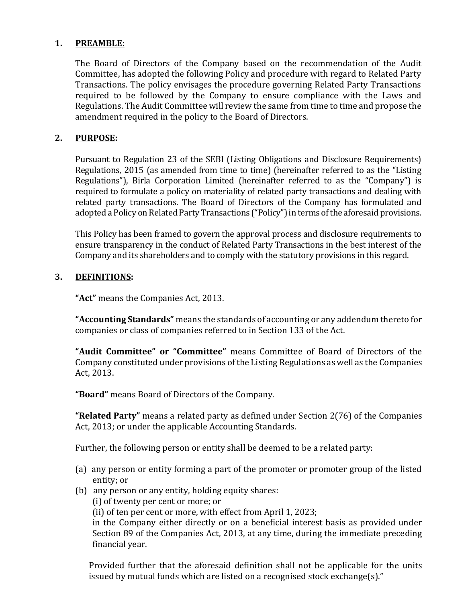#### **1. PREAMBLE**:

The Board of Directors of the Company based on the recommendation of the Audit Committee, has adopted the following Policy and procedure with regard to Related Party Transactions. The policy envisages the procedure governing Related Party Transactions required to be followed by the Company to ensure compliance with the Laws and Regulations. The Audit Committee will review the same from time to time and propose the amendment required in the policy to the Board of Directors.

## **2. PURPOSE:**

Pursuant to Regulation 23 of the SEBI (Listing Obligations and Disclosure Requirements) Regulations, 2015 (as amended from time to time) (hereinafter referred to as the "Listing Regulations"), Birla Corporation Limited (hereinafter referred to as the "Company") is required to formulate a policy on materiality of related party transactions and dealing with related party transactions. The Board of Directors of the Company has formulated and adopted a Policy on Related Party Transactions ("Policy") in terms of the aforesaid provisions.

This Policy has been framed to govern the approval process and disclosure requirements to ensure transparency in the conduct of Related Party Transactions in the best interest of the Company and its shareholders and to comply with the statutory provisions in this regard.

#### **3. DEFINITIONS:**

**"Act"** means the Companies Act, 2013.

**"Accounting Standards"** means the standards of accounting or any addendum thereto for companies or class of companies referred to in Section 133 of the Act.

**"Audit Committee" or "Committee"** means Committee of Board of Directors of the Company constituted under provisions of the Listing Regulations as well as the Companies Act, 2013.

**"Board"** means Board of Directors of the Company.

**"Related Party"** means a related party as defined under Section 2(76) of the Companies Act, 2013; or under the applicable Accounting Standards.

Further, the following person or entity shall be deemed to be a related party:

- (a) any person or entity forming a part of the promoter or promoter group of the listed entity; or
- (b) any person or any entity, holding equity shares:
	- (i) of twenty per cent or more; or

(ii) of ten per cent or more, with effect from April 1, 2023;

in the Company either directly or on a beneficial interest basis as provided under Section 89 of the Companies Act, 2013, at any time, during the immediate preceding financial year.

Provided further that the aforesaid definition shall not be applicable for the units issued by mutual funds which are listed on a recognised stock exchange(s)."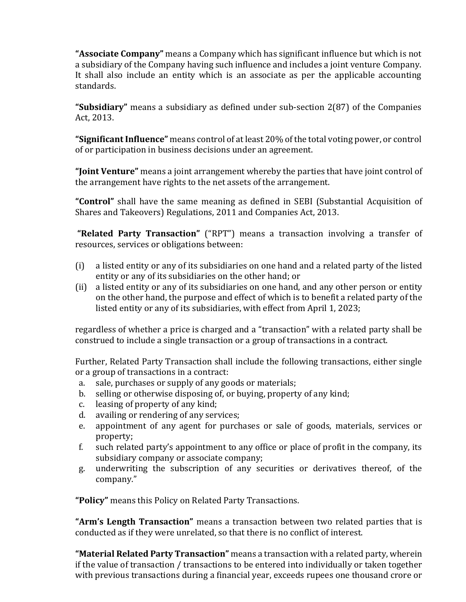**"Associate Company"** means a Company which has significant influence but which is not a subsidiary of the Company having such influence and includes a joint venture Company. It shall also include an entity which is an associate as per the applicable accounting standards.

**"Subsidiary"** means a subsidiary as defined under sub-section 2(87) of the Companies Act, 2013.

**"Significant Influence"** means control of at least 20% of the total voting power, or control of or participation in business decisions under an agreement.

**"Joint Venture"** means a joint arrangement whereby the parties that have joint control of the arrangement have rights to the net assets of the arrangement.

**"Control"** shall have the same meaning as defined in SEBI (Substantial Acquisition of Shares and Takeovers) Regulations, 2011 and Companies Act, 2013.

**"Related Party Transaction"** ("RPT") means a transaction involving a transfer of resources, services or obligations between:

- (i) a listed entity or any of its subsidiaries on one hand and a related party of the listed entity or any of its subsidiaries on the other hand; or
- (ii) a listed entity or any of its subsidiaries on one hand, and any other person or entity on the other hand, the purpose and effect of which is to benefit a related party of the listed entity or any of its subsidiaries, with effect from April 1, 2023;

regardless of whether a price is charged and a "transaction" with a related party shall be construed to include a single transaction or a group of transactions in a contract.

Further, Related Party Transaction shall include the following transactions, either single or a group of transactions in a contract:

- a. sale, purchases or supply of any goods or materials;
- b. selling or otherwise disposing of, or buying, property of any kind;
- c. leasing of property of any kind;
- d. availing or rendering of any services;
- e. appointment of any agent for purchases or sale of goods, materials, services or property;
- f. such related party's appointment to any office or place of profit in the company, its subsidiary company or associate company;
- g. underwriting the subscription of any securities or derivatives thereof, of the company."

**"Policy"** means this Policy on Related Party Transactions.

**"Arm's Length Transaction"** means a transaction between two related parties that is conducted as if they were unrelated, so that there is no conflict of interest.

**"Material Related Party Transaction"** means a transaction with a related party, wherein if the value of transaction / transactions to be entered into individually or taken together with previous transactions during a financial year, exceeds rupees one thousand crore or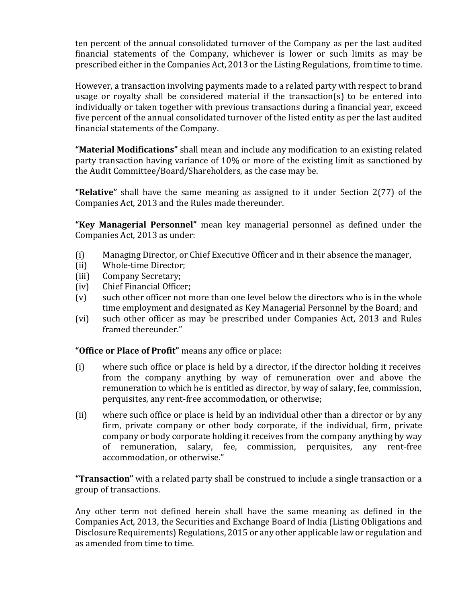ten percent of the annual consolidated turnover of the Company as per the last audited financial statements of the Company, whichever is lower or such limits as may be prescribed either in the Companies Act, 2013 or the Listing Regulations, from time to time.

However, a transaction involving payments made to a related party with respect to brand usage or royalty shall be considered material if the transaction(s) to be entered into individually or taken together with previous transactions during a financial year, exceed five percent of the annual consolidated turnover of the listed entity as per the last audited financial statements of the Company.

**"Material Modifications"** shall mean and include any modification to an existing related party transaction having variance of 10% or more of the existing limit as sanctioned by the Audit Committee/Board/Shareholders, as the case may be.

**"Relative"** shall have the same meaning as assigned to it under Section 2(77) of the Companies Act, 2013 and the Rules made thereunder.

**"Key Managerial Personnel"** mean key managerial personnel as defined under the Companies Act, 2013 as under:

- (i) Managing Director, or Chief Executive Officer and in their absence the manager,
- (ii) Whole-time Director;
- (iii) Company Secretary;
- (iv) Chief Financial Officer;
- (v) such other officer not more than one level below the directors who is in the whole time employment and designated as Key Managerial Personnel by the Board; and
- (vi) such other officer as may be prescribed under Companies Act, 2013 and Rules framed thereunder."

**"Office or Place of Profit"** means any office or place:

- (i) where such office or place is held by a director, if the director holding it receives from the company anything by way of remuneration over and above the remuneration to which he is entitled as director, by way of salary, fee, commission, perquisites, any rent‐free accommodation, or otherwise;
- (ii) where such office or place is held by an individual other than a director or by any firm, private company or other body corporate, if the individual, firm, private company or body corporate holding it receives from the company anything by way of remuneration, salary, fee, commission, perquisites, any rent‐free accommodation, or otherwise."

**"Transaction"** with a related party shall be construed to include a single transaction or a group of transactions.

Any other term not defined herein shall have the same meaning as defined in the Companies Act, 2013, the Securities and Exchange Board of India (Listing Obligations and Disclosure Requirements) Regulations, 2015 or any other applicable law or regulation and as amended from time to time.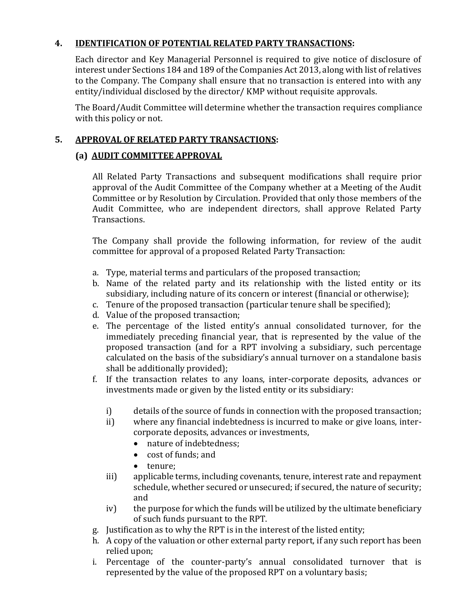# **4. IDENTIFICATION OF POTENTIAL RELATED PARTY TRANSACTIONS:**

Each director and Key Managerial Personnel is required to give notice of disclosure of interest under Sections 184 and 189 of the Companies Act 2013, along with list of relatives to the Company. The Company shall ensure that no transaction is entered into with any entity/individual disclosed by the director/ KMP without requisite approvals.

The Board/Audit Committee will determine whether the transaction requires compliance with this policy or not.

## **5. APPROVAL OF RELATED PARTY TRANSACTIONS:**

## **(a) AUDIT COMMITTEE APPROVAL**

All Related Party Transactions and subsequent modifications shall require prior approval of the Audit Committee of the Company whether at a Meeting of the Audit Committee or by Resolution by Circulation. Provided that only those members of the Audit Committee, who are independent directors, shall approve Related Party Transactions.

The Company shall provide the following information, for review of the audit committee for approval of a proposed Related Party Transaction:

- a. Type, material terms and particulars of the proposed transaction;
- b. Name of the related party and its relationship with the listed entity or its subsidiary, including nature of its concern or interest (financial or otherwise);
- c. Tenure of the proposed transaction (particular tenure shall be specified);
- d. Value of the proposed transaction;
- e. The percentage of the listed entity's annual consolidated turnover, for the immediately preceding financial year, that is represented by the value of the proposed transaction (and for a RPT involving a subsidiary, such percentage calculated on the basis of the subsidiary's annual turnover on a standalone basis shall be additionally provided);
- f. If the transaction relates to any loans, inter-corporate deposits, advances or investments made or given by the listed entity or its subsidiary:
	- i) details of the source of funds in connection with the proposed transaction;
	- ii) where any financial indebtedness is incurred to make or give loans, intercorporate deposits, advances or investments,
		- nature of indebtedness:
		- cost of funds; and
		- tenure;
	- iii) applicable terms, including covenants, tenure, interest rate and repayment schedule, whether secured or unsecured; if secured, the nature of security; and
	- iv) the purpose for which the funds will be utilized by the ultimate beneficiary of such funds pursuant to the RPT.
- g. Justification as to why the RPT is in the interest of the listed entity;
- h. A copy of the valuation or other external party report, if any such report has been relied upon;
- i. Percentage of the counter-party's annual consolidated turnover that is represented by the value of the proposed RPT on a voluntary basis;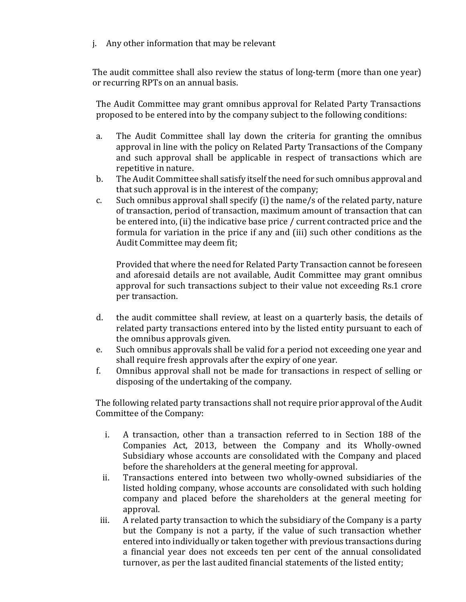j. Any other information that may be relevant

The audit committee shall also review the status of long-term (more than one year) or recurring RPTs on an annual basis.

The Audit Committee may grant omnibus approval for Related Party Transactions proposed to be entered into by the company subject to the following conditions:

- a. The Audit Committee shall lay down the criteria for granting the omnibus approval in line with the policy on Related Party Transactions of the Company and such approval shall be applicable in respect of transactions which are repetitive in nature.
- b. The Audit Committee shall satisfy itself the need for such omnibus approval and that such approval is in the interest of the company;
- c. Such omnibus approval shall specify (i) the name/s of the related party, nature of transaction, period of transaction, maximum amount of transaction that can be entered into, (ii) the indicative base price / current contracted price and the formula for variation in the price if any and (iii) such other conditions as the Audit Committee may deem fit;

Provided that where the need for Related Party Transaction cannot be foreseen and aforesaid details are not available, Audit Committee may grant omnibus approval for such transactions subject to their value not exceeding Rs.1 crore per transaction.

- d. the audit committee shall review, at least on a quarterly basis, the details of related party transactions entered into by the listed entity pursuant to each of the omnibus approvals given.
- e. Such omnibus approvals shall be valid for a period not exceeding one year and shall require fresh approvals after the expiry of one year.
- f. Omnibus approval shall not be made for transactions in respect of selling or disposing of the undertaking of the company.

The following related party transactions shall not require prior approval of the Audit Committee of the Company:

- i. A transaction, other than a transaction referred to in Section 188 of the Companies Act, 2013, between the Company and its Wholly-owned Subsidiary whose accounts are consolidated with the Company and placed before the shareholders at the general meeting for approval.
- ii. Transactions entered into between two wholly-owned subsidiaries of the listed holding company, whose accounts are consolidated with such holding company and placed before the shareholders at the general meeting for approval.
- iii. A related party transaction to which the subsidiary of the Company is a party but the Company is not a party, if the value of such transaction whether entered into individually or taken together with previous transactions during a financial year does not exceeds ten per cent of the annual consolidated turnover, as per the last audited financial statements of the listed entity;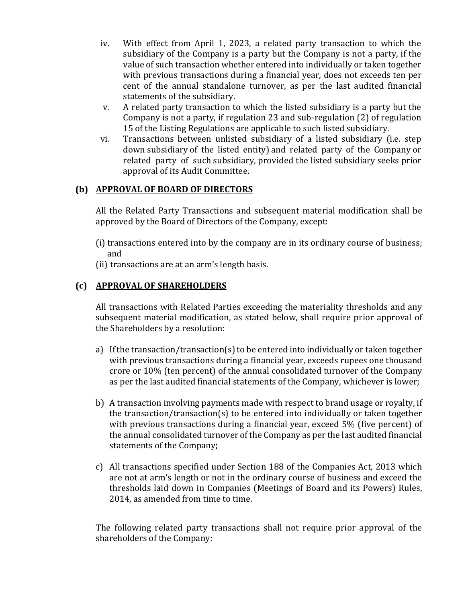- iv. With effect from April 1, 2023, a related party transaction to which the subsidiary of the Company is a party but the Company is not a party, if the value of such transaction whether entered into individually or taken together with previous transactions during a financial year, does not exceeds ten per cent of the annual standalone turnover, as per the last audited financial statements of the subsidiary.
- v. A related party transaction to which the listed subsidiary is a party but the Company is not a party, if regulation 23 and sub-regulation (2) of regulation 15 of the Listing Regulations are applicable to such listed subsidiary.
- vi. Transactions between unlisted subsidiary of a listed subsidiary (i.e. step down subsidiary of the listed entity) and related party of the Company or related party of such subsidiary, provided the listed subsidiary seeks prior approval of its Audit Committee.

# **(b) APPROVAL OF BOARD OF DIRECTORS**

All the Related Party Transactions and subsequent material modification shall be approved by the Board of Directors of the Company, except:

- (i) transactions entered into by the company are in its ordinary course of business; and
- (ii) transactions are at an arm's length basis.

# **(c) APPROVAL OF SHAREHOLDERS**

All transactions with Related Parties exceeding the materiality thresholds and any subsequent material modification, as stated below, shall require prior approval of the Shareholders by a resolution:

- a) If the transaction/transaction(s) to be entered into individually or taken together with previous transactions during a financial year, exceeds rupees one thousand crore or 10% (ten percent) of the annual consolidated turnover of the Company as per the last audited financial statements of the Company, whichever is lower;
- b) A transaction involving payments made with respect to brand usage or royalty, if the transaction/transaction(s) to be entered into individually or taken together with previous transactions during a financial year, exceed 5% (five percent) of the annual consolidated turnover of the Company as per the last audited financial statements of the Company;
- c) All transactions specified under Section 188 of the Companies Act, 2013 which are not at arm's length or not in the ordinary course of business and exceed the thresholds laid down in Companies (Meetings of Board and its Powers) Rules, 2014, as amended from time to time.

The following related party transactions shall not require prior approval of the shareholders of the Company: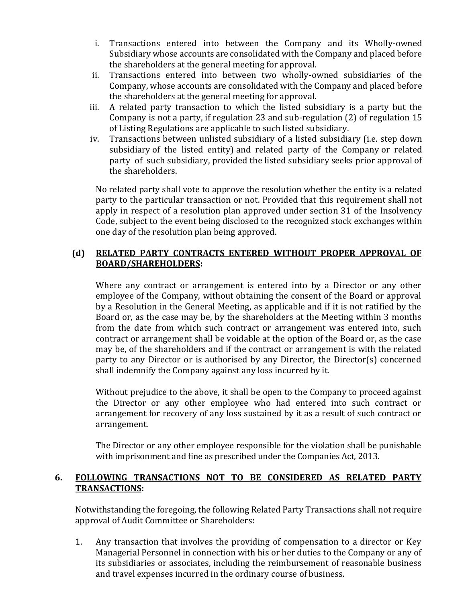- i. Transactions entered into between the Company and its Wholly-owned Subsidiary whose accounts are consolidated with the Company and placed before the shareholders at the general meeting for approval.
- ii. Transactions entered into between two wholly-owned subsidiaries of the Company, whose accounts are consolidated with the Company and placed before the shareholders at the general meeting for approval.
- iii. A related party transaction to which the listed subsidiary is a party but the Company is not a party, if regulation 23 and sub-regulation (2) of regulation 15 of Listing Regulations are applicable to such listed subsidiary.
- iv. Transactions between unlisted subsidiary of a listed subsidiary (i.e. step down subsidiary of the listed entity) and related party of the Company or related party of such subsidiary, provided the listed subsidiary seeks prior approval of the shareholders.

No related party shall vote to approve the resolution whether the entity is a related party to the particular transaction or not. Provided that this requirement shall not apply in respect of a resolution plan approved under section 31 of the Insolvency Code, subject to the event being disclosed to the recognized stock exchanges within one day of the resolution plan being approved.

# **(d) RELATED PARTY CONTRACTS ENTERED WITHOUT PROPER APPROVAL OF BOARD/SHAREHOLDERS:**

Where any contract or arrangement is entered into by a Director or any other employee of the Company, without obtaining the consent of the Board or approval by a Resolution in the General Meeting, as applicable and if it is not ratified by the Board or, as the case may be, by the shareholders at the Meeting within 3 months from the date from which such contract or arrangement was entered into, such contract or arrangement shall be voidable at the option of the Board or, as the case may be, of the shareholders and if the contract or arrangement is with the related party to any Director or is authorised by any Director, the Director(s) concerned shall indemnify the Company against any loss incurred by it.

Without prejudice to the above, it shall be open to the Company to proceed against the Director or any other employee who had entered into such contract or arrangement for recovery of any loss sustained by it as a result of such contract or arrangement.

The Director or any other employee responsible for the violation shall be punishable with imprisonment and fine as prescribed under the Companies Act, 2013.

## **6. FOLLOWING TRANSACTIONS NOT TO BE CONSIDERED AS RELATED PARTY TRANSACTIONS:**

Notwithstanding the foregoing, the following Related Party Transactions shall not require approval of Audit Committee or Shareholders:

1. Any transaction that involves the providing of compensation to a director or Key Managerial Personnel in connection with his or her duties to the Company or any of its subsidiaries or associates, including the reimbursement of reasonable business and travel expenses incurred in the ordinary course of business.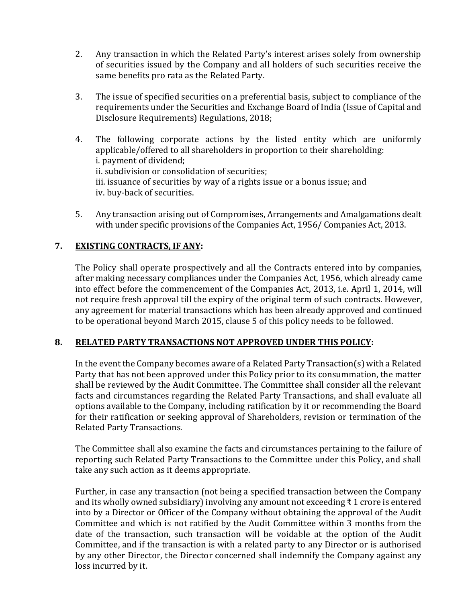- 2. Any transaction in which the Related Party's interest arises solely from ownership of securities issued by the Company and all holders of such securities receive the same benefits pro rata as the Related Party.
- 3. The issue of specified securities on a preferential basis, subject to compliance of the requirements under the Securities and Exchange Board of India (Issue of Capital and Disclosure Requirements) Regulations, 2018;
- 4. The following corporate actions by the listed entity which are uniformly applicable/offered to all shareholders in proportion to their shareholding: i. payment of dividend; ii. subdivision or consolidation of securities; iii. issuance of securities by way of a rights issue or a bonus issue; and iv. buy-back of securities.
- 5. Any transaction arising out of Compromises, Arrangements and Amalgamations dealt with under specific provisions of the Companies Act, 1956/ Companies Act, 2013.

# **7. EXISTING CONTRACTS, IF ANY:**

The Policy shall operate prospectively and all the Contracts entered into by companies, after making necessary compliances under the Companies Act, 1956, which already came into effect before the commencement of the Companies Act, 2013, i.e. April 1, 2014, will not require fresh approval till the expiry of the original term of such contracts. However, any agreement for material transactions which has been already approved and continued to be operational beyond March 2015, clause 5 of this policy needs to be followed.

#### **8. RELATED PARTY TRANSACTIONS NOT APPROVED UNDER THIS POLICY:**

In the event the Company becomes aware of a Related Party Transaction(s) with a Related Party that has not been approved under this Policy prior to its consummation, the matter shall be reviewed by the Audit Committee. The Committee shall consider all the relevant facts and circumstances regarding the Related Party Transactions, and shall evaluate all options available to the Company, including ratification by it or recommending the Board for their ratification or seeking approval of Shareholders, revision or termination of the Related Party Transactions.

The Committee shall also examine the facts and circumstances pertaining to the failure of reporting such Related Party Transactions to the Committee under this Policy, and shall take any such action as it deems appropriate.

Further, in case any transaction (not being a specified transaction between the Company and its wholly owned subsidiary) involving any amount not exceeding  $\bar{x}$  1 crore is entered into by a Director or Officer of the Company without obtaining the approval of the Audit Committee and which is not ratified by the Audit Committee within 3 months from the date of the transaction, such transaction will be voidable at the option of the Audit Committee, and if the transaction is with a related party to any Director or is authorised by any other Director, the Director concerned shall indemnify the Company against any loss incurred by it.